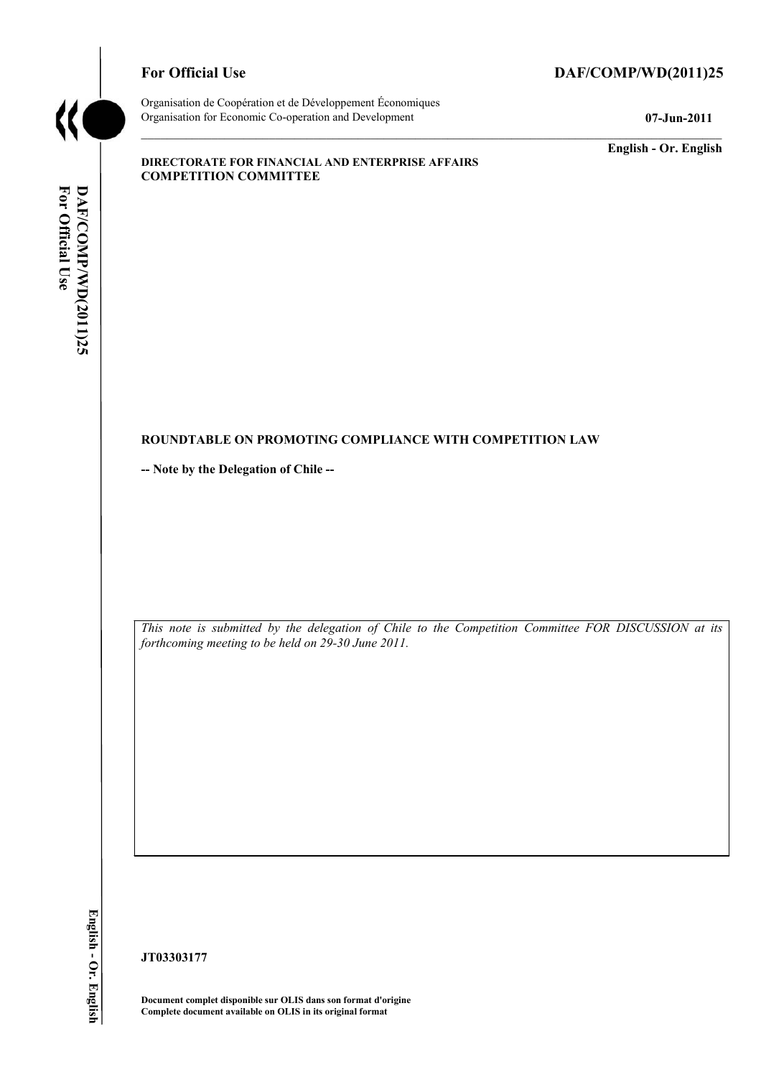

# For Official Use DAF/COMP/WD(2011)25

Organisation de Coopération et de Développement Économiques Organisation for Economic Co-operation and Development **07-Jun-2011** 

**English - Or. English** 

### **DIRECTORATE FOR FINANCIAL AND ENTERPRISE AFFAIRS COMPETITION COMMITTEE**

# For Official Use DAF/COMP/WD(2011)25 **For Official Use DAF/COMP/WD(2011)25 English - Or. English**

### **ROUNDTABLE ON PROMOTING COMPLIANCE WITH COMPETITION LAW**

**-- Note by the Delegation of Chile --** 

*This note is submitted by the delegation of Chile to the Competition Committee FOR DISCUSSION at its forthcoming meeting to be held on 29-30 June 2011.* 

English - Or. English

**JT03303177** 

**Document complet disponible sur OLIS dans son format d'origine Complete document available on OLIS in its original format**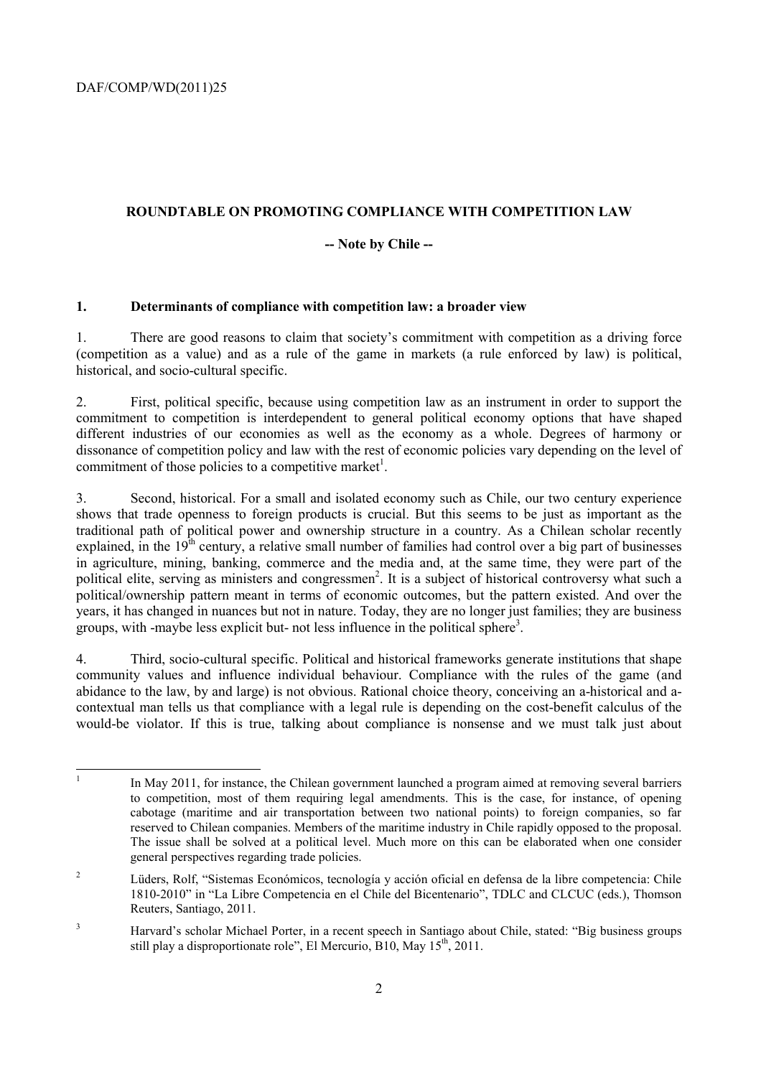# **ROUNDTABLE ON PROMOTING COMPLIANCE WITH COMPETITION LAW**

# **-- Note by Chile --**

# **1. Determinants of compliance with competition law: a broader view**

1. There are good reasons to claim that society's commitment with competition as a driving force (competition as a value) and as a rule of the game in markets (a rule enforced by law) is political, historical, and socio-cultural specific.

2. First, political specific, because using competition law as an instrument in order to support the commitment to competition is interdependent to general political economy options that have shaped different industries of our economies as well as the economy as a whole. Degrees of harmony or dissonance of competition policy and law with the rest of economic policies vary depending on the level of commitment of those policies to a competitive market<sup>1</sup>.

3. Second, historical. For a small and isolated economy such as Chile, our two century experience shows that trade openness to foreign products is crucial. But this seems to be just as important as the traditional path of political power and ownership structure in a country. As a Chilean scholar recently explained, in the  $19<sup>th</sup>$  century, a relative small number of families had control over a big part of businesses in agriculture, mining, banking, commerce and the media and, at the same time, they were part of the political elite, serving as ministers and congressmen<sup>2</sup>. It is a subject of historical controversy what such a political/ownership pattern meant in terms of economic outcomes, but the pattern existed. And over the years, it has changed in nuances but not in nature. Today, they are no longer just families; they are business groups, with -maybe less explicit but- not less influence in the political sphere<sup>3</sup>.

4. Third, socio-cultural specific. Political and historical frameworks generate institutions that shape community values and influence individual behaviour. Compliance with the rules of the game (and abidance to the law, by and large) is not obvious. Rational choice theory, conceiving an a-historical and acontextual man tells us that compliance with a legal rule is depending on the cost-benefit calculus of the would-be violator. If this is true, talking about compliance is nonsense and we must talk just about

<sup>|&</sup>lt;br>|<br>| In May 2011, for instance, the Chilean government launched a program aimed at removing several barriers to competition, most of them requiring legal amendments. This is the case, for instance, of opening cabotage (maritime and air transportation between two national points) to foreign companies, so far reserved to Chilean companies. Members of the maritime industry in Chile rapidly opposed to the proposal. The issue shall be solved at a political level. Much more on this can be elaborated when one consider general perspectives regarding trade policies.

<sup>2</sup> Lüders, Rolf, "Sistemas Económicos, tecnología y acción oficial en defensa de la libre competencia: Chile 1810-2010" in "La Libre Competencia en el Chile del Bicentenario", TDLC and CLCUC (eds.), Thomson Reuters, Santiago, 2011.

<sup>3</sup> Harvard's scholar Michael Porter, in a recent speech in Santiago about Chile, stated: "Big business groups still play a disproportionate role", El Mercurio, B10, May  $15<sup>th</sup>$ , 2011.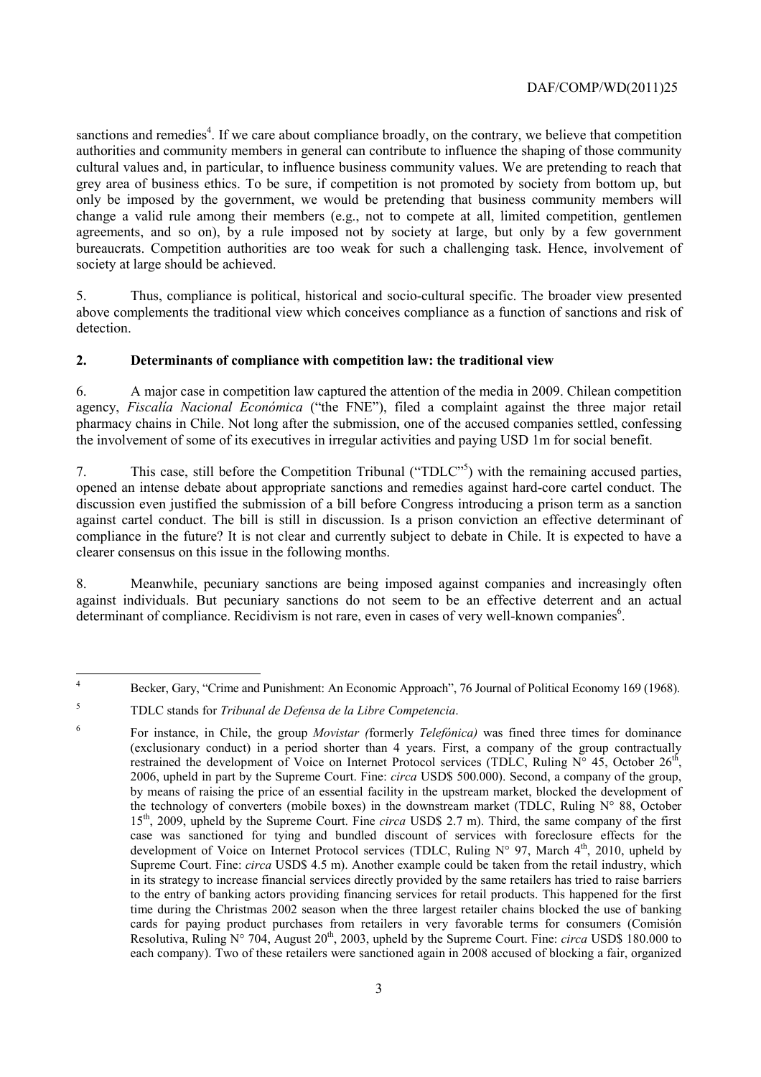sanctions and remedies<sup>4</sup>. If we care about compliance broadly, on the contrary, we believe that competition authorities and community members in general can contribute to influence the shaping of those community cultural values and, in particular, to influence business community values. We are pretending to reach that grey area of business ethics. To be sure, if competition is not promoted by society from bottom up, but only be imposed by the government, we would be pretending that business community members will change a valid rule among their members (e.g., not to compete at all, limited competition, gentlemen agreements, and so on), by a rule imposed not by society at large, but only by a few government bureaucrats. Competition authorities are too weak for such a challenging task. Hence, involvement of society at large should be achieved.

5. Thus, compliance is political, historical and socio-cultural specific. The broader view presented above complements the traditional view which conceives compliance as a function of sanctions and risk of detection.

# **2. Determinants of compliance with competition law: the traditional view**

6. A major case in competition law captured the attention of the media in 2009. Chilean competition agency, *Fiscalía Nacional Económica* ("the FNE"), filed a complaint against the three major retail pharmacy chains in Chile. Not long after the submission, one of the accused companies settled, confessing the involvement of some of its executives in irregular activities and paying USD 1m for social benefit.

7. This case, still before the Competition Tribunal ("TDLC"<sup>5</sup>) with the remaining accused parties, opened an intense debate about appropriate sanctions and remedies against hard-core cartel conduct. The discussion even justified the submission of a bill before Congress introducing a prison term as a sanction against cartel conduct. The bill is still in discussion. Is a prison conviction an effective determinant of compliance in the future? It is not clear and currently subject to debate in Chile. It is expected to have a clearer consensus on this issue in the following months.

8. Meanwhile, pecuniary sanctions are being imposed against companies and increasingly often against individuals. But pecuniary sanctions do not seem to be an effective deterrent and an actual determinant of compliance. Recidivism is not rare, even in cases of very well-known companies<sup>6</sup>.

 $\frac{1}{4}$ Becker, Gary, "Crime and Punishment: An Economic Approach", 76 Journal of Political Economy 169 (1968).

5

6

TDLC stands for *Tribunal de Defensa de la Libre Competencia*.

For instance, in Chile, the group *Movistar (*formerly *Telefónica)* was fined three times for dominance (exclusionary conduct) in a period shorter than 4 years. First, a company of the group contractually restrained the development of Voice on Internet Protocol services (TDLC, Ruling N° 45, October 26<sup>th</sup>, 2006, upheld in part by the Supreme Court. Fine: *circa* USD\$ 500.000). Second, a company of the group, by means of raising the price of an essential facility in the upstream market, blocked the development of the technology of converters (mobile boxes) in the downstream market (TDLC, Ruling N° 88, October 15th, 2009, upheld by the Supreme Court. Fine *circa* USD\$ 2.7 m). Third, the same company of the first case was sanctioned for tying and bundled discount of services with foreclosure effects for the development of Voice on Internet Protocol services (TDLC, Ruling  $N^{\circ}$  97, March 4<sup>th</sup>, 2010, upheld by Supreme Court. Fine: *circa* USD\$ 4.5 m). Another example could be taken from the retail industry, which in its strategy to increase financial services directly provided by the same retailers has tried to raise barriers to the entry of banking actors providing financing services for retail products. This happened for the first time during the Christmas 2002 season when the three largest retailer chains blocked the use of banking cards for paying product purchases from retailers in very favorable terms for consumers (Comisión Resolutiva, Ruling N° 704, August 20<sup>th</sup>, 2003, upheld by the Supreme Court. Fine: *circa* USD\$ 180.000 to each company). Two of these retailers were sanctioned again in 2008 accused of blocking a fair, organized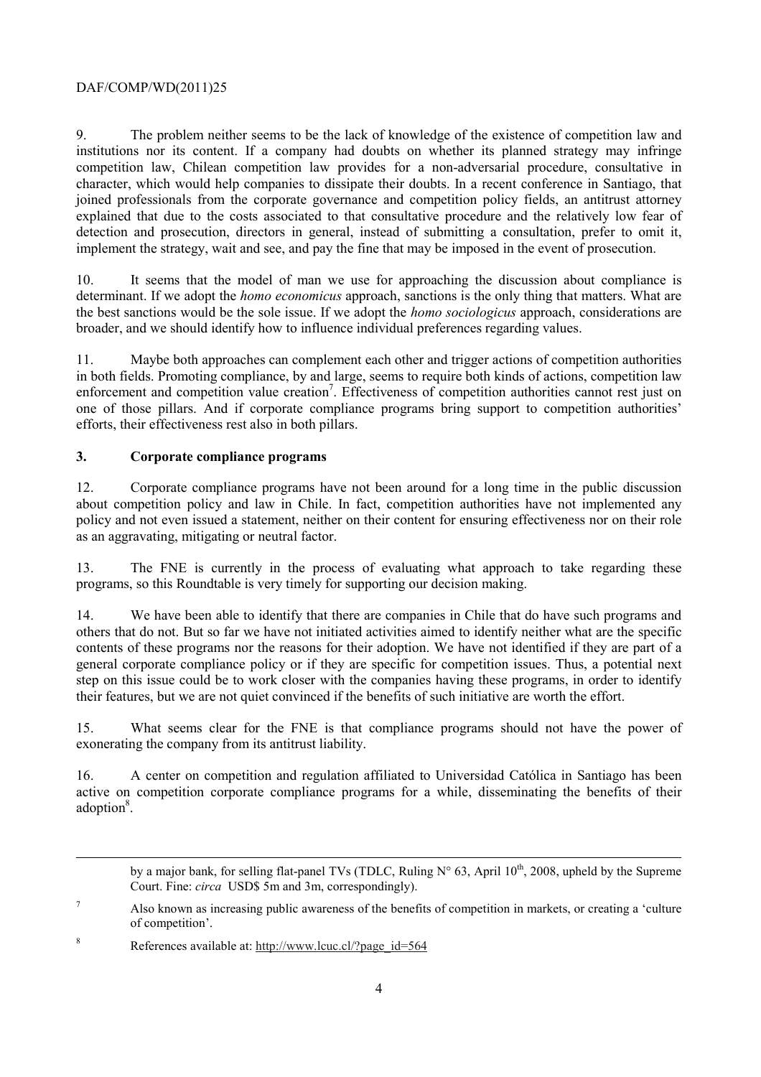9. The problem neither seems to be the lack of knowledge of the existence of competition law and institutions nor its content. If a company had doubts on whether its planned strategy may infringe competition law, Chilean competition law provides for a non-adversarial procedure, consultative in character, which would help companies to dissipate their doubts. In a recent conference in Santiago, that joined professionals from the corporate governance and competition policy fields, an antitrust attorney explained that due to the costs associated to that consultative procedure and the relatively low fear of detection and prosecution, directors in general, instead of submitting a consultation, prefer to omit it, implement the strategy, wait and see, and pay the fine that may be imposed in the event of prosecution.

10. It seems that the model of man we use for approaching the discussion about compliance is determinant. If we adopt the *homo economicus* approach, sanctions is the only thing that matters. What are the best sanctions would be the sole issue. If we adopt the *homo sociologicus* approach, considerations are broader, and we should identify how to influence individual preferences regarding values.

11. Maybe both approaches can complement each other and trigger actions of competition authorities in both fields. Promoting compliance, by and large, seems to require both kinds of actions, competition law enforcement and competition value creation<sup>7</sup>. Effectiveness of competition authorities cannot rest just on one of those pillars. And if corporate compliance programs bring support to competition authorities' efforts, their effectiveness rest also in both pillars.

# **3. Corporate compliance programs**

12. Corporate compliance programs have not been around for a long time in the public discussion about competition policy and law in Chile. In fact, competition authorities have not implemented any policy and not even issued a statement, neither on their content for ensuring effectiveness nor on their role as an aggravating, mitigating or neutral factor.

13. The FNE is currently in the process of evaluating what approach to take regarding these programs, so this Roundtable is very timely for supporting our decision making.

14. We have been able to identify that there are companies in Chile that do have such programs and others that do not. But so far we have not initiated activities aimed to identify neither what are the specific contents of these programs nor the reasons for their adoption. We have not identified if they are part of a general corporate compliance policy or if they are specific for competition issues. Thus, a potential next step on this issue could be to work closer with the companies having these programs, in order to identify their features, but we are not quiet convinced if the benefits of such initiative are worth the effort.

15. What seems clear for the FNE is that compliance programs should not have the power of exonerating the company from its antitrust liability.

16. A center on competition and regulation affiliated to Universidad Católica in Santiago has been active on competition corporate compliance programs for a while, disseminating the benefits of their adoption<sup>8</sup>.

by a major bank, for selling flat-panel TVs (TDLC, Ruling  $N^{\circ}$  63, April 10<sup>th</sup>, 2008, upheld by the Supreme Court. Fine: *circa* USD\$ 5m and 3m, correspondingly).

1

<sup>7</sup> Also known as increasing public awareness of the benefits of competition in markets, or creating a 'culture of competition'.

<sup>8</sup> References available at: http://www.lcuc.cl/?page\_id=564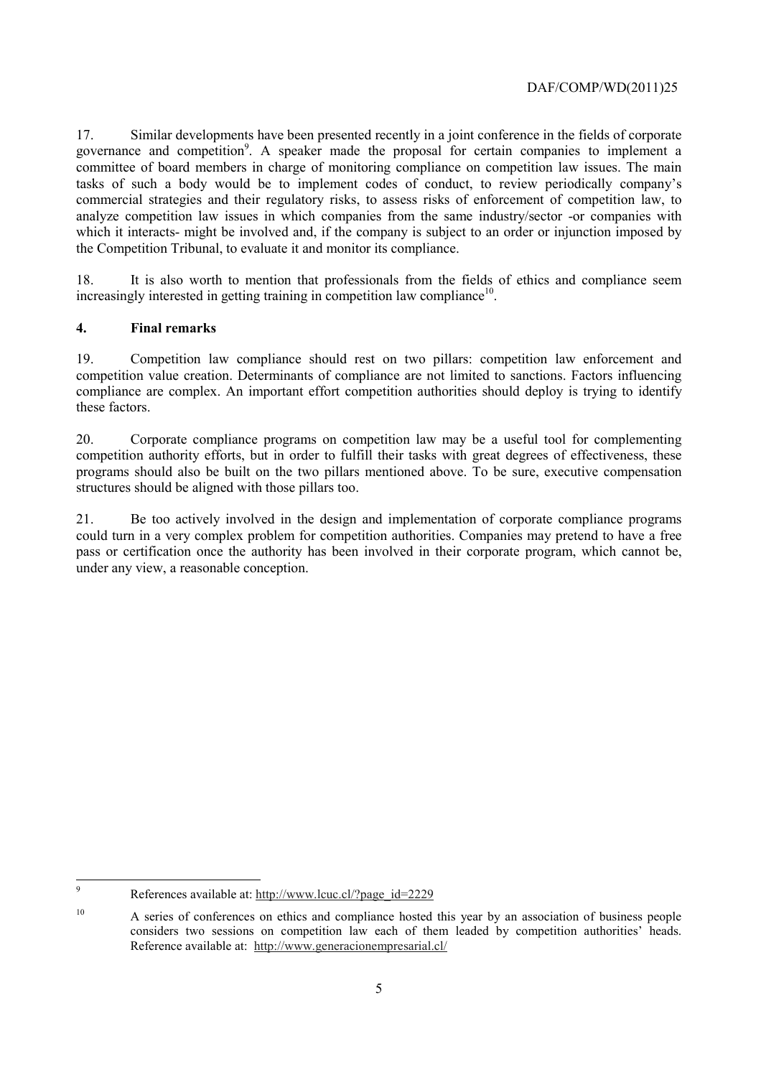17. Similar developments have been presented recently in a joint conference in the fields of corporate governance and competition<sup>9</sup>. A speaker made the proposal for certain companies to implement a committee of board members in charge of monitoring compliance on competition law issues. The main tasks of such a body would be to implement codes of conduct, to review periodically company's commercial strategies and their regulatory risks, to assess risks of enforcement of competition law, to analyze competition law issues in which companies from the same industry/sector -or companies with which it interacts- might be involved and, if the company is subject to an order or injunction imposed by the Competition Tribunal, to evaluate it and monitor its compliance.

18. It is also worth to mention that professionals from the fields of ethics and compliance seem  $increasingly$  interested in getting training in competition law compliance<sup>10</sup>.

### **4. Final remarks**

19. Competition law compliance should rest on two pillars: competition law enforcement and competition value creation. Determinants of compliance are not limited to sanctions. Factors influencing compliance are complex. An important effort competition authorities should deploy is trying to identify these factors.

20. Corporate compliance programs on competition law may be a useful tool for complementing competition authority efforts, but in order to fulfill their tasks with great degrees of effectiveness, these programs should also be built on the two pillars mentioned above. To be sure, executive compensation structures should be aligned with those pillars too.

21. Be too actively involved in the design and implementation of corporate compliance programs could turn in a very complex problem for competition authorities. Companies may pretend to have a free pass or certification once the authority has been involved in their corporate program, which cannot be, under any view, a reasonable conception.

<sup>-&</sup>lt;br>9 References available at: http://www.lcuc.cl/?page\_id=2229

<sup>&</sup>lt;sup>10</sup> A series of conferences on ethics and compliance hosted this year by an association of business people considers two sessions on competition law each of them leaded by competition authorities' heads. Reference available at: http://www.generacionempresarial.cl/